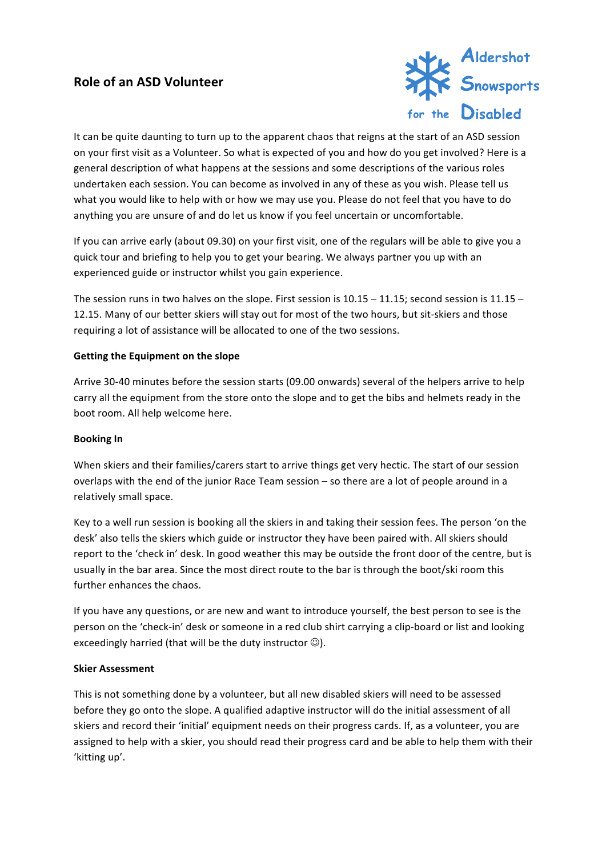# **Role of an ASD Volunteer**



It can be quite daunting to turn up to the apparent chaos that reigns at the start of an ASD session on your first visit as a Volunteer. So what is expected of you and how do you get involved? Here is a general description of what happens at the sessions and some descriptions of the various roles undertaken each session. You can become as involved in any of these as you wish. Please tell us what you would like to help with or how we may use you. Please do not feel that you have to do anything you are unsure of and do let us know if you feel uncertain or uncomfortable.

If you can arrive early (about 09.30) on your first visit, one of the regulars will be able to give you a quick tour and briefing to help you to get your bearing. We always partner you up with an experienced guide or instructor whilst you gain experience.

The session runs in two halves on the slope. First session is  $10.15 - 11.15$ ; second session is  $11.15 -$ 12.15. Many of our better skiers will stay out for most of the two hours, but sit-skiers and those requiring a lot of assistance will be allocated to one of the two sessions.

## **Getting the Equipment on the slope**

Arrive 30-40 minutes before the session starts (09.00 onwards) several of the helpers arrive to help carry all the equipment from the store onto the slope and to get the bibs and helmets ready in the boot room. All help welcome here.

### **Booking** In

When skiers and their families/carers start to arrive things get very hectic. The start of our session overlaps with the end of the junior Race Team session – so there are a lot of people around in a relatively small space.

Key to a well run session is booking all the skiers in and taking their session fees. The person 'on the desk' also tells the skiers which guide or instructor they have been paired with. All skiers should report to the 'check in' desk. In good weather this may be outside the front door of the centre, but is usually in the bar area. Since the most direct route to the bar is through the boot/ski room this further enhances the chaos.

If you have any questions, or are new and want to introduce yourself, the best person to see is the person on the 'check-in' desk or someone in a red club shirt carrying a clip-board or list and looking exceedingly harried (that will be the duty instructor  $\odot$ ).

### **Skier Assessment**

This is not something done by a volunteer, but all new disabled skiers will need to be assessed before they go onto the slope. A qualified adaptive instructor will do the initial assessment of all skiers and record their 'initial' equipment needs on their progress cards. If, as a volunteer, you are assigned to help with a skier, you should read their progress card and be able to help them with their 'kitting up'.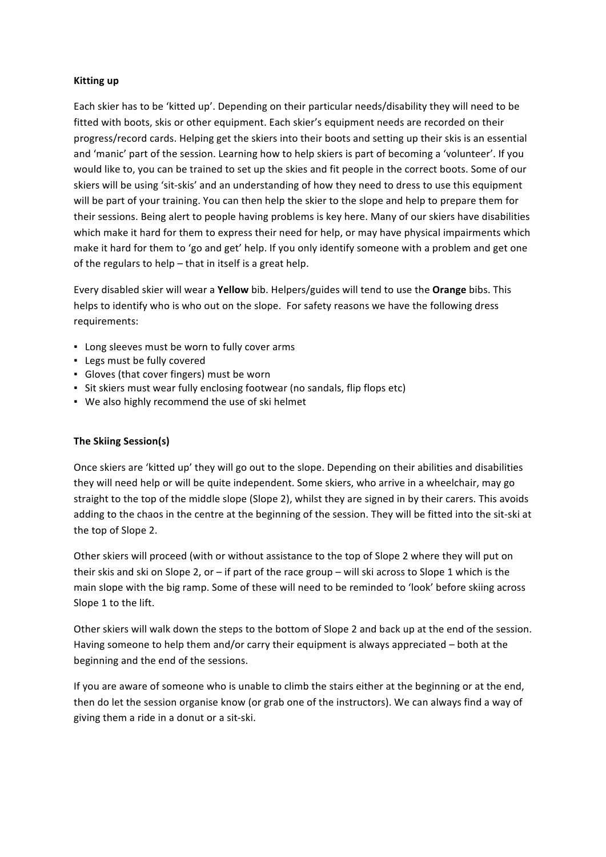### **Kitting up**

Each skier has to be 'kitted up'. Depending on their particular needs/disability they will need to be fitted with boots, skis or other equipment. Each skier's equipment needs are recorded on their progress/record cards. Helping get the skiers into their boots and setting up their skis is an essential and 'manic' part of the session. Learning how to help skiers is part of becoming a 'volunteer'. If you would like to, you can be trained to set up the skies and fit people in the correct boots. Some of our skiers will be using 'sit-skis' and an understanding of how they need to dress to use this equipment will be part of your training. You can then help the skier to the slope and help to prepare them for their sessions. Being alert to people having problems is key here. Many of our skiers have disabilities which make it hard for them to express their need for help, or may have physical impairments which make it hard for them to 'go and get' help. If you only identify someone with a problem and get one of the regulars to help  $-$  that in itself is a great help.

Every disabled skier will wear a Yellow bib. Helpers/guides will tend to use the Orange bibs. This helps to identify who is who out on the slope. For safety reasons we have the following dress requirements:

- Long sleeves must be worn to fully cover arms
- **.** Legs must be fully covered
- Gloves (that cover fingers) must be worn
- Sit skiers must wear fully enclosing footwear (no sandals, flip flops etc)
- We also highly recommend the use of ski helmet

### **The Skiing Session(s)**

Once skiers are 'kitted up' they will go out to the slope. Depending on their abilities and disabilities they will need help or will be quite independent. Some skiers, who arrive in a wheelchair, may go straight to the top of the middle slope (Slope 2), whilst they are signed in by their carers. This avoids adding to the chaos in the centre at the beginning of the session. They will be fitted into the sit-ski at the top of Slope 2.

Other skiers will proceed (with or without assistance to the top of Slope 2 where they will put on their skis and ski on Slope 2, or – if part of the race group – will ski across to Slope 1 which is the main slope with the big ramp. Some of these will need to be reminded to 'look' before skiing across Slope 1 to the lift.

Other skiers will walk down the steps to the bottom of Slope 2 and back up at the end of the session. Having someone to help them and/or carry their equipment is always appreciated  $-$  both at the beginning and the end of the sessions.

If you are aware of someone who is unable to climb the stairs either at the beginning or at the end, then do let the session organise know (or grab one of the instructors). We can always find a way of giving them a ride in a donut or a sit-ski.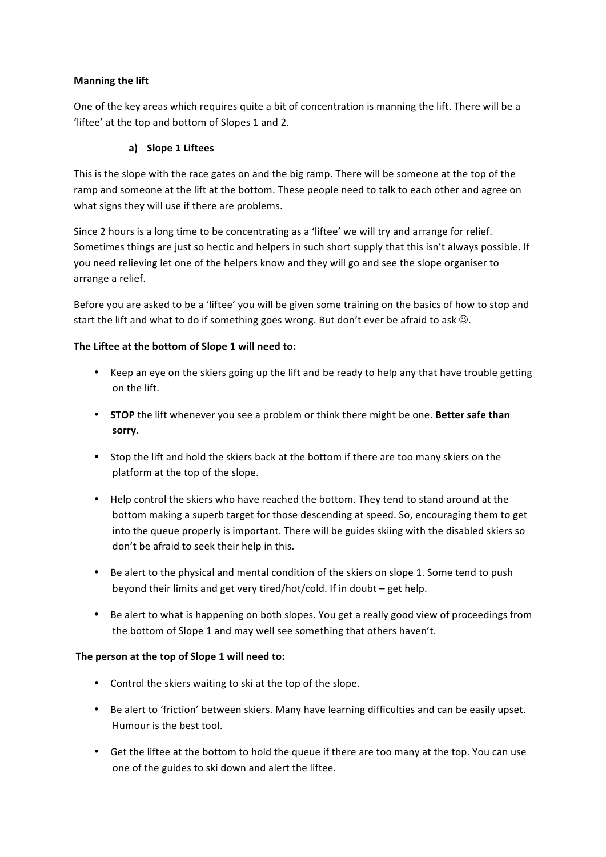## **Manning the lift**

One of the key areas which requires quite a bit of concentration is manning the lift. There will be a 'liftee' at the top and bottom of Slopes 1 and 2.

## **a) Slope 1 Liftees**

This is the slope with the race gates on and the big ramp. There will be someone at the top of the ramp and someone at the lift at the bottom. These people need to talk to each other and agree on what signs they will use if there are problems.

Since 2 hours is a long time to be concentrating as a 'liftee' we will try and arrange for relief. Sometimes things are just so hectic and helpers in such short supply that this isn't always possible. If you need relieving let one of the helpers know and they will go and see the slope organiser to arrange a relief.

Before you are asked to be a 'liftee' you will be given some training on the basics of how to stop and start the lift and what to do if something goes wrong. But don't ever be afraid to ask  $\odot$ .

## The Liftee at the bottom of Slope 1 will need to:

- Keep an eye on the skiers going up the lift and be ready to help any that have trouble getting on the lift.
- **STOP** the lift whenever you see a problem or think there might be one. Better safe than **sorry**.
- Stop the lift and hold the skiers back at the bottom if there are too many skiers on the platform at the top of the slope.
- Help control the skiers who have reached the bottom. They tend to stand around at the bottom making a superb target for those descending at speed. So, encouraging them to get into the queue properly is important. There will be guides skiing with the disabled skiers so don't be afraid to seek their help in this.
- Be alert to the physical and mental condition of the skiers on slope 1. Some tend to push beyond their limits and get very tired/hot/cold. If in doubt  $-$  get help.
- Be alert to what is happening on both slopes. You get a really good view of proceedings from the bottom of Slope 1 and may well see something that others haven't.

### The person at the top of Slope 1 will need to:

- Control the skiers waiting to ski at the top of the slope.
- Be alert to 'friction' between skiers. Many have learning difficulties and can be easily upset. Humour is the best tool.
- Get the liftee at the bottom to hold the queue if there are too many at the top. You can use one of the guides to ski down and alert the liftee.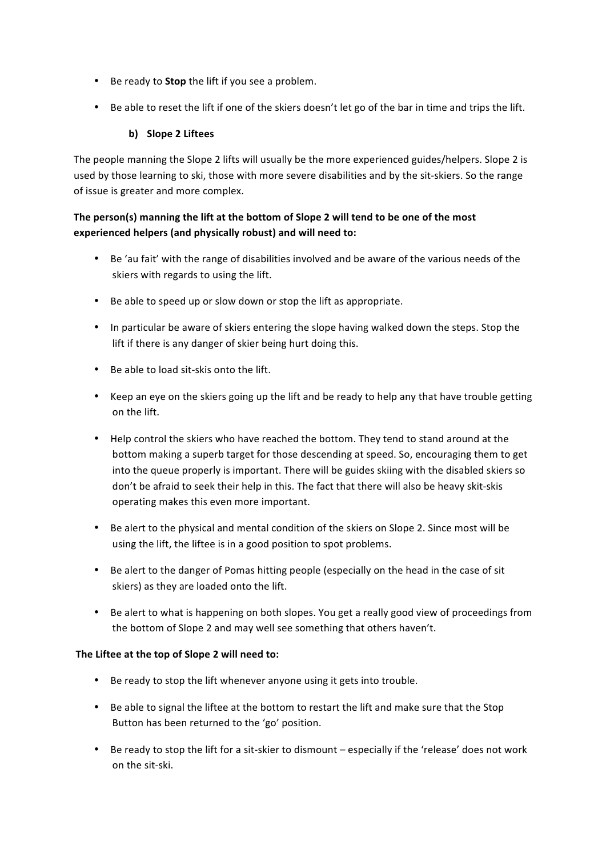- Be ready to **Stop** the lift if you see a problem.
- Be able to reset the lift if one of the skiers doesn't let go of the bar in time and trips the lift.

## **b) Slope 2 Liftees**

The people manning the Slope 2 lifts will usually be the more experienced guides/helpers. Slope 2 is used by those learning to ski, those with more severe disabilities and by the sit-skiers. So the range of issue is greater and more complex.

## The person(s) manning the lift at the bottom of Slope 2 will tend to be one of the most **experienced helpers (and physically robust) and will need to:**

- Be 'au fait' with the range of disabilities involved and be aware of the various needs of the skiers with regards to using the lift.
- Be able to speed up or slow down or stop the lift as appropriate.
- In particular be aware of skiers entering the slope having walked down the steps. Stop the lift if there is any danger of skier being hurt doing this.
- Be able to load sit-skis onto the lift.
- Keep an eye on the skiers going up the lift and be ready to help any that have trouble getting on the lift.
- Help control the skiers who have reached the bottom. They tend to stand around at the bottom making a superb target for those descending at speed. So, encouraging them to get into the queue properly is important. There will be guides skiing with the disabled skiers so don't be afraid to seek their help in this. The fact that there will also be heavy skit-skis operating makes this even more important.
- Be alert to the physical and mental condition of the skiers on Slope 2. Since most will be using the lift, the liftee is in a good position to spot problems.
- Be alert to the danger of Pomas hitting people (especially on the head in the case of sit skiers) as they are loaded onto the lift.
- Be alert to what is happening on both slopes. You get a really good view of proceedings from the bottom of Slope 2 and may well see something that others haven't.

## The Liftee at the top of Slope 2 will need to:

- Be ready to stop the lift whenever anyone using it gets into trouble.
- Be able to signal the liftee at the bottom to restart the lift and make sure that the Stop Button has been returned to the 'go' position.
- Be ready to stop the lift for a sit-skier to dismount especially if the 'release' does not work on the sit-ski.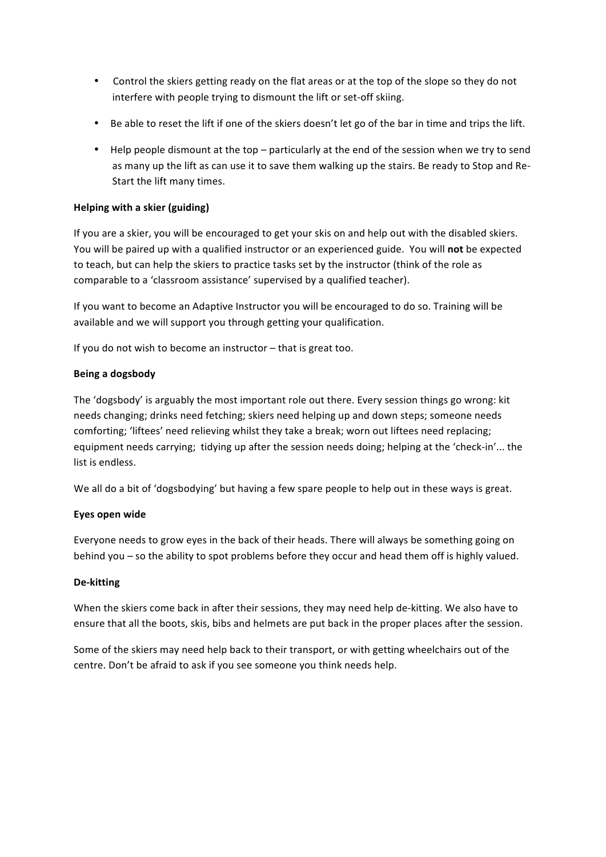- Control the skiers getting ready on the flat areas or at the top of the slope so they do not interfere with people trying to dismount the lift or set-off skiing.
- Be able to reset the lift if one of the skiers doesn't let go of the bar in time and trips the lift.
- Help people dismount at the top particularly at the end of the session when we try to send as many up the lift as can use it to save them walking up the stairs. Be ready to Stop and Re-Start the lift many times.

## **Helping with a skier (guiding)**

If you are a skier, you will be encouraged to get your skis on and help out with the disabled skiers. You will be paired up with a qualified instructor or an experienced guide. You will **not** be expected to teach, but can help the skiers to practice tasks set by the instructor (think of the role as comparable to a 'classroom assistance' supervised by a qualified teacher).

If you want to become an Adaptive Instructor you will be encouraged to do so. Training will be available and we will support you through getting your qualification.

If you do not wish to become an instructor  $-$  that is great too.

## **Being a dogsbody**

The 'dogsbody' is arguably the most important role out there. Every session things go wrong: kit needs changing; drinks need fetching; skiers need helping up and down steps; someone needs comforting; 'liftees' need relieving whilst they take a break; worn out liftees need replacing; equipment needs carrying; tidying up after the session needs doing; helping at the 'check-in'... the list is endless.

We all do a bit of 'dogsbodying' but having a few spare people to help out in these ways is great.

### **Eyes open wide**

Everyone needs to grow eyes in the back of their heads. There will always be something going on behind you – so the ability to spot problems before they occur and head them off is highly valued.

### **De-kitting**

When the skiers come back in after their sessions, they may need help de-kitting. We also have to ensure that all the boots, skis, bibs and helmets are put back in the proper places after the session.

Some of the skiers may need help back to their transport, or with getting wheelchairs out of the centre. Don't be afraid to ask if you see someone you think needs help.